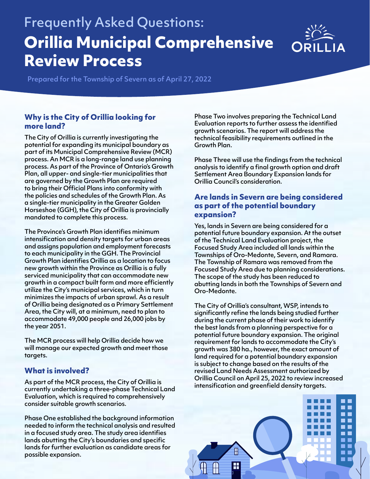# Frequently Asked Questions: **Orillia Municipal Comprehensive Review Process**



Prepared for the Township of Severn as of April 27, 2022

### **Why is the City of Orillia looking for more land?**

The City of Orillia is currently investigating the potential for expanding its municipal boundary as part of its Municipal Comprehensive Review (MCR) process. An MCR is a long-range land use planning process. As part of the Province of Ontario's Growth Plan, all upper- and single-tier municipalities that are governed by the Growth Plan are required to bring their Official Plans into conformity with the policies and schedules of the Growth Plan. As a single-tier municipality in the Greater Golden Horseshoe (GGH), the City of Orillia is provincially mandated to complete this process.

The Province's Growth Plan identifies minimum intensification and density targets for urban areas and assigns population and employment forecasts to each municipality in the GGH. The Provincial Growth Plan identifies Orillia as a location to focus new growth within the Province as Orillia is a fully serviced municipality that can accommodate new growth in a compact built form and more efficiently utilize the City's municipal services, which in turn minimizes the impacts of urban sprawl. As a result of Orillia being designated as a Primary Settlement Area, the City will, at a minimum, need to plan to accommodate 49,000 people and 26,000 jobs by the year 2051.

The MCR process will help Orillia decide how we will manage our expected growth and meet those targets.

## **What is involved?**

As part of the MCR process, the City of Orillia is currently undertaking a three-phase Technical Land Evaluation, which is required to comprehensively consider suitable growth scenarios.

Phase One established the background information needed to inform the technical analysis and resulted in a focused study area. The study area identifies lands abutting the City's boundaries and specific lands for further evaluation as candidate areas for possible expansion.

Phase Two involves preparing the Technical Land Evaluation reports to further assess the identified growth scenarios. The report will address the technical feasibility requirements outlined in the Growth Plan.

Phase Three will use the findings from the technical analysis to identify a final growth option and draft Settlement Area Boundary Expansion lands for Orillia Council's consideration.

#### **Are lands in Severn are being considered as part of the potential boundary expansion?**

Yes, lands in Severn are being considered for a potential future boundary expansion. At the outset of the Technical Land Evaluation project, the Focused Study Area included all lands within the Townships of Oro-Medonte, Severn, and Ramara. The Township of Ramara was removed from the Focused Study Area due to planning considerations. The scope of the study has been reduced to abutting lands in both the Townships of Severn and Oro-Medonte.

The City of Orillia's consultant, WSP, intends to significantly refine the lands being studied further during the current phase of their work to identify the best lands from a planning perspective for a potential future boundary expansion. The original requirement for lands to accommodate the City's growth was 380 ha., however, the exact amount of land required for a potential boundary expansion is subject to change based on the results of the revised Land Needs Assessment authorized by Orillia Council on April 25, 2022 to review increased intensification and greenfield density targets.

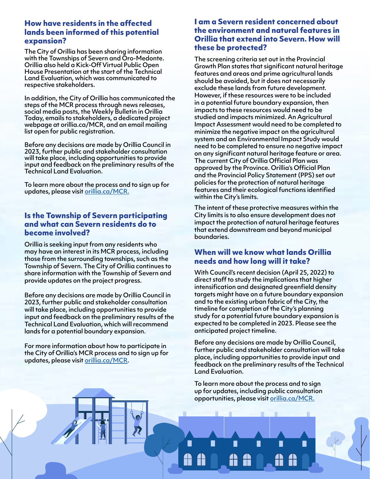#### **How have residents in the affected lands been informed of this potential expansion?**

The City of Orillia has been sharing information with the Townships of Severn and Oro-Medonte. Orillia also held a Kick-Off Virtual Public Open House Presentation at the start of the Technical Land Evaluation, which was communicated to respective stakeholders.

In addition, the City of Orillia has communicated the steps of the MCR process through news releases, social media posts, the Weekly Bulletin in Orillia Today, emails to stakeholders, a dedicated project webpage at orillia.ca/MCR, and an email mailing list open for public registration.

Before any decisions are made by Orillia Council in 2023, further public and stakeholder consultation will take place, including opportunities to provide input and feedback on the preliminary results of the Technical Land Evaluation.

To learn more about the process and to sign up for updates, please visit [orillia.ca/MCR.](http://orillia.ca/MCR.)

#### **Is the Township of Severn participating and what can Severn residents do to become involved?**

Orillia is seeking input from any residents who may have an interest in its MCR process, including those from the surrounding townships, such as the Township of Severn. The City of Orillia continues to share information with the Township of Severn and provide updates on the project progress.

Before any decisions are made by Orillia Council in 2023, further public and stakeholder consultation will take place, including opportunities to provide input and feedback on the preliminary results of the Technical Land Evaluation, which will recommend lands for a potential boundary expansion.

For more information about how to participate in the City of Orillia's MCR process and to sign up for updates, please visit [orillia.ca/MCR](http://orillia.ca/MCR).

### **I am a Severn resident concerned about the environment and natural features in Orillia that extend into Severn. How will these be protected?**

The screening criteria set out in the Provincial Growth Plan states that significant natural heritage features and areas and prime agricultural lands should be avoided, but it does not necessarily exclude these lands from future development. However, if these resources were to be included in a potential future boundary expansion, then impacts to these resources would need to be studied and impacts minimized. An Agricultural Impact Assessment would need to be completed to minimize the negative impact on the agricultural system and an Environmental Impact Study would need to be completed to ensure no negative impact on any significant natural heritage feature or area. The current City of Orillia Official Plan was approved by the Province. Orillia's Official Plan and the Provincial Policy Statement (PPS) set out policies for the protection of natural heritage features and their ecological functions identified within the City's limits.

The intent of these protective measures within the City limits is to also ensure development does not impact the protection of natural heritage features that extend downstream and beyond municipal boundaries.

### **When will we know what lands Orillia needs and how long will it take?**

With Council's recent decision (April 25, 2022) to direct staff to study the implications that higher intensification and designated greenfield density targets might have on a future boundary expansion and to the existing urban fabric of the City, the timeline for completion of the City's planning study for a potential future boundary expansion is expected to be completed in 2023. Please see the anticipated project timeline.

Before any decisions are made by Orillia Council, further public and stakeholder consultation will take place, including opportunities to provide input and feedback on the preliminary results of the Technical Land Evaluation.

 $\blacksquare$ 

To learn more about the process and to sign up for updates, including public consultation opportunities, please visit [orillia.ca/MCR.](http://orillia.ca/MCR.)